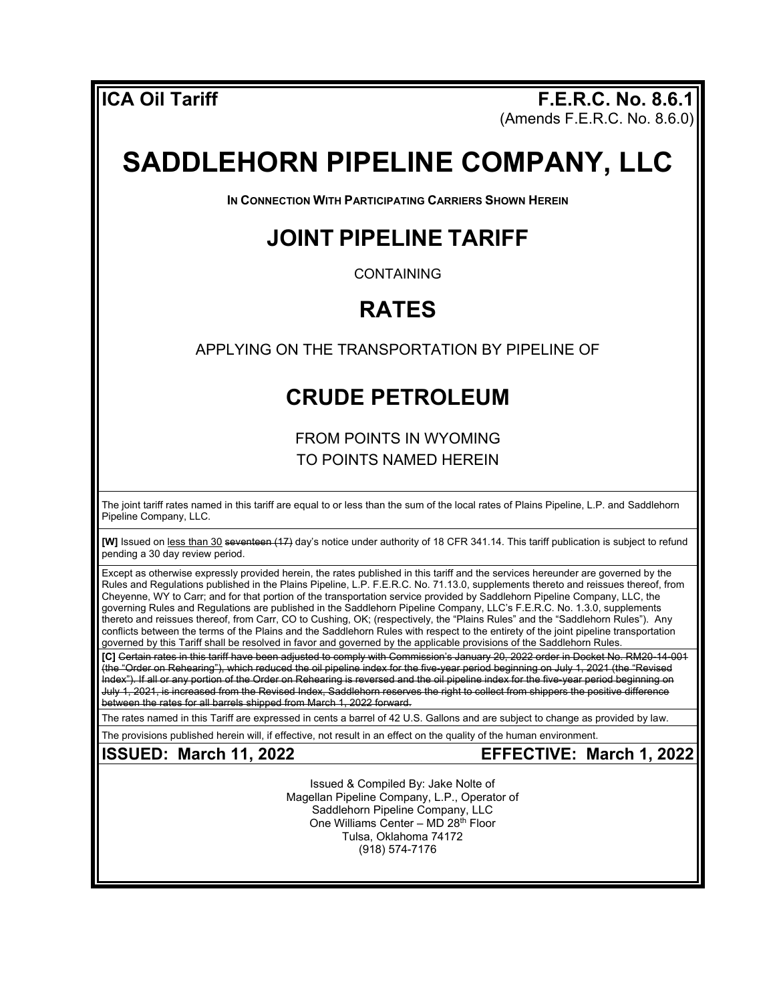**ICA Oil Tariff F.E.R.C. No. 8.6.1**  $(A$ mends F.E.R.C. No. 8.6.0)

# **SADDLEHORN PIPELINE COMPANY, LLC**

**IN CONNECTION WITH PARTICIPATING CARRIERS SHOWN HEREIN**

### **JOINT PIPELINE TARIFF**

CONTAINING

## **RATES**

APPLYING ON THE TRANSPORTATION BY PIPELINE OF

### **CRUDE PETROLEUM**

FROM POINTS IN WYOMING TO POINTS NAMED HEREIN

The joint tariff rates named in this tariff are equal to or less than the sum of the local rates of Plains Pipeline, L.P. and Saddlehorn Pipeline Company, LLC.

**[W]** Issued on less than 30 seventeen (17) day's notice under authority of 18 CFR 341.14. This tariff publication is subject to refund pending a 30 day review period.

Except as otherwise expressly provided herein, the rates published in this tariff and the services hereunder are governed by the Rules and Regulations published in the Plains Pipeline, L.P. F.E.R.C. No. 71.13.0, supplements thereto and reissues thereof, from Cheyenne, WY to Carr; and for that portion of the transportation service provided by Saddlehorn Pipeline Company, LLC, the governing Rules and Regulations are published in the Saddlehorn Pipeline Company, LLC's F.E.R.C. No. 1.3.0, supplements thereto and reissues thereof, from Carr, CO to Cushing, OK; (respectively, the "Plains Rules" and the "Saddlehorn Rules"). Any conflicts between the terms of the Plains and the Saddlehorn Rules with respect to the entirety of the joint pipeline transportation governed by this Tariff shall be resolved in favor and governed by the applicable provisions of the Saddlehorn Rules.

**[C]** Certain rates in this tariff have been adjusted to comply with Commission's January 20, 2022 order in Docket No. RM20-14-001 (the "Order on Rehearing"), which reduced the oil pipeline index for the five-year period beginning on July 1, 2021 (the "Revised Index"). If all or any portion of the Order on Rehearing is reversed and the oil pipeline index for the five-year period beginning on July 1, 2021, is increased from the Revised Index, Saddlehorn reserves the right to collect from shippers the positive difference between the rates for all barrels shipped from March 1, 2022 forward.

The rates named in this Tariff are expressed in cents a barrel of 42 U.S. Gallons and are subject to change as provided by law.

The provisions published herein will, if effective, not result in an effect on the quality of the human environment.

**ISSUED: March 11, 2022 EFFECTIVE: March 1, 2022**

Issued & Compiled By: Jake Nolte of Magellan Pipeline Company, L.P., Operator of Saddlehorn Pipeline Company, LLC One Williams Center – MD 28th Floor Tulsa, Oklahoma 74172 (918) 574-7176